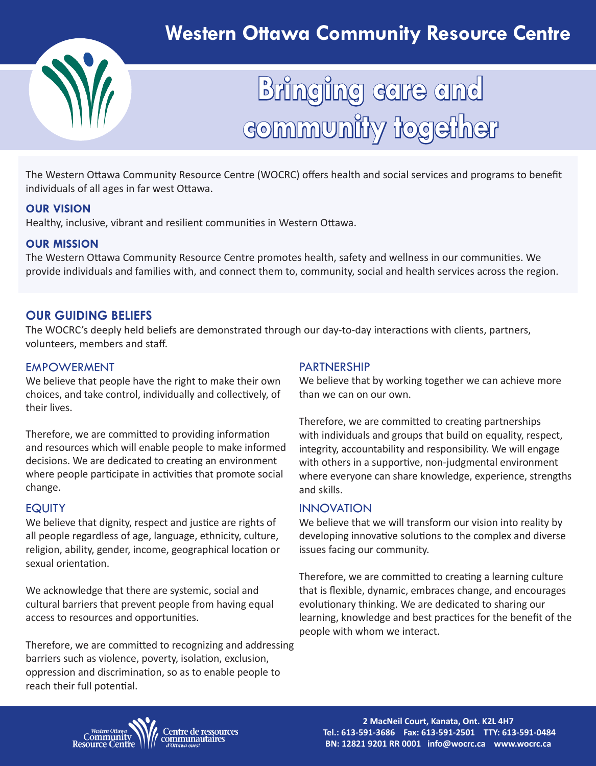

# **Bringing care and community together**

The Western Ottawa Community Resource Centre (WOCRC) offers health and social services and programs to benefit individuals of all ages in far west Ottawa.

#### **OUR VISION**

Healthy, inclusive, vibrant and resilient communities in Western Ottawa.

#### **OUR MISSION**

The Western Ottawa Community Resource Centre promotes health, safety and wellness in our communities. We provide individuals and families with, and connect them to, community, social and health services across the region.

# **OUR GUIDING BELIEFS**

The WOCRC's deeply held beliefs are demonstrated through our day-to-day interactions with clients, partners, volunteers, members and staff.

#### EMPOWERMENT

We believe that people have the right to make their own choices, and take control, individually and collectively, of their lives.

Therefore, we are committed to providing information and resources which will enable people to make informed decisions. We are dedicated to creating an environment where people participate in activities that promote social change.

## **EQUITY**

We believe that dignity, respect and justice are rights of all people regardless of age, language, ethnicity, culture, religion, ability, gender, income, geographical location or sexual orientation.

We acknowledge that there are systemic, social and cultural barriers that prevent people from having equal access to resources and opportunities.

Therefore, we are committed to recognizing and addressing barriers such as violence, poverty, isolation, exclusion, oppression and discrimination, so as to enable people to reach their full potential.

#### PARTNERSHIP

We believe that by working together we can achieve more than we can on our own.

Therefore, we are committed to creating partnerships with individuals and groups that build on equality, respect, integrity, accountability and responsibility. We will engage with others in a supportive, non-judgmental environment where everyone can share knowledge, experience, strengths and skills.

#### INNOVATION

We believe that we will transform our vision into reality by developing innovative solutions to the complex and diverse issues facing our community.

Therefore, we are committed to creating a learning culture that is flexible, dynamic, embraces change, and encourages evolutionary thinking. We are dedicated to sharing our learning, knowledge and best practices for the benefit of the people with whom we interact.

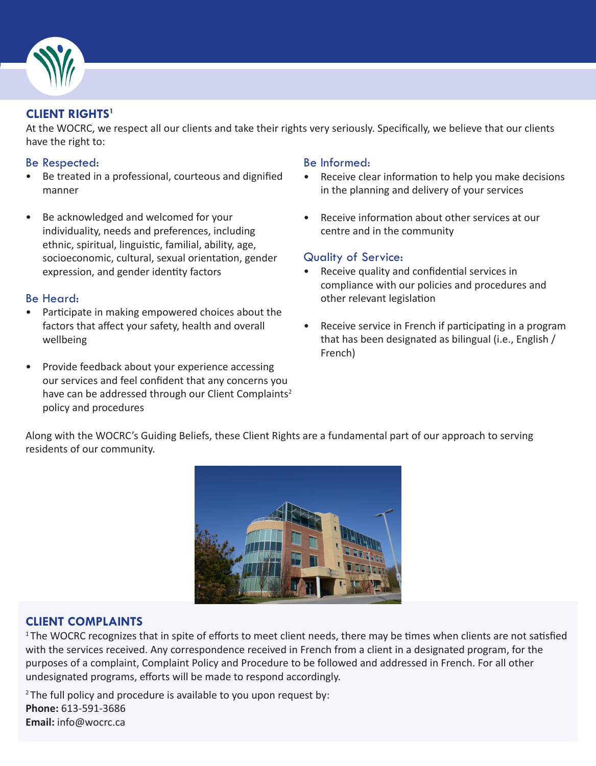

# **CLIENT RIGHTS1**

At the WOCRC, we respect all our clients and take their rights very seriously. Specifically, we believe that our clients have the right to:

#### Be Respected:

- Be treated in a professional, courteous and dignified manner
- Be acknowledged and welcomed for your individuality, needs and preferences, including ethnic, spiritual, linguistic, familial, ability, age, socioeconomic, cultural, sexual orientation, gender expression, and gender identity factors

#### Be Heard:

- Participate in making empowered choices about the factors that affect your safety, health and overall wellbeing
- Provide feedback about your experience accessing our services and feel confident that any concerns you have can be addressed through our Client Complaints<sup>2</sup> policy and procedures

#### Be Informed:

- Receive clear information to help you make decisions in the planning and delivery of your services
- Receive information about other services at our centre and in the community

#### Quality of Service:

- Receive quality and confidential services in compliance with our policies and procedures and other relevant legislation
- Receive service in French if participating in a program that has been designated as bilingual (i.e., English / French)

Along with the WOCRC's Guiding Beliefs, these Client Rights are a fundamental part of our approach to serving residents of our community.



## **CLIENT COMPLAINTS**

<sup>1</sup>The WOCRC recognizes that in spite of efforts to meet client needs, there may be times when clients are not satisfied with the services received. Any correspondence received in French from a client in a designated program, for the purposes of a complaint, Complaint Policy and Procedure to be followed and addressed in French. For all other undesignated programs, efforts will be made to respond accordingly.

 $2$ The full policy and procedure is available to you upon request by: **Phone:** 613-591-3686 **Email:** info@wocrc.ca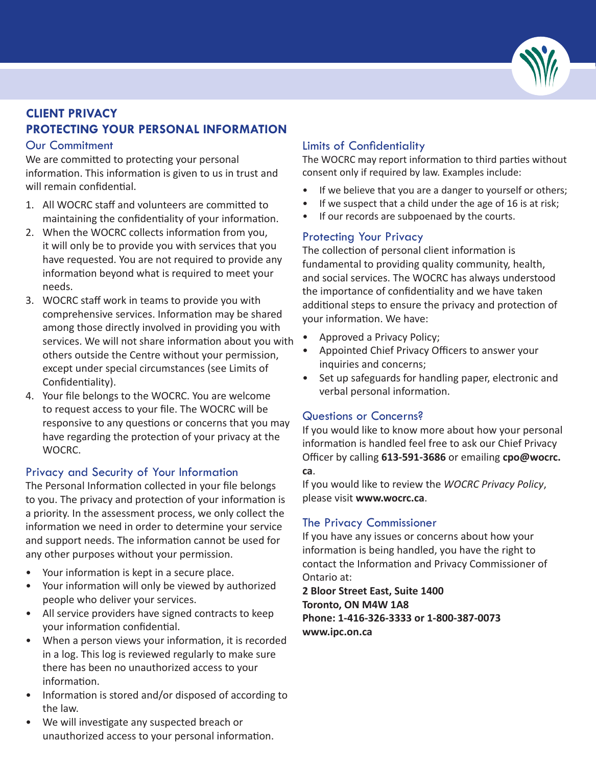

# **CLIENT PRIVACY PROTECTING YOUR PERSONAL INFORMATION**

#### Our Commitment

We are committed to protecting your personal information. This information is given to us in trust and will remain confidential.

- 1. All WOCRC staff and volunteers are committed to maintaining the confidentiality of your information.
- 2. When the WOCRC collects information from you, it will only be to provide you with services that you have requested. You are not required to provide any information beyond what is required to meet your needs.
- 3. WOCRC staff work in teams to provide you with comprehensive services. Information may be shared among those directly involved in providing you with services. We will not share information about you with others outside the Centre without your permission, except under special circumstances (see Limits of Confidentiality).
- 4. Your file belongs to the WOCRC. You are welcome to request access to your file. The WOCRC will be responsive to any questions or concerns that you may have regarding the protection of your privacy at the WOCRC.

## Privacy and Security of Your Information

The Personal Information collected in your file belongs to you. The privacy and protection of your information is a priority. In the assessment process, we only collect the information we need in order to determine your service and support needs. The information cannot be used for any other purposes without your permission.

- Your information is kept in a secure place.
- Your information will only be viewed by authorized people who deliver your services.
- All service providers have signed contracts to keep your information confidential.
- When a person views your information, it is recorded in a log. This log is reviewed regularly to make sure there has been no unauthorized access to your information.
- Information is stored and/or disposed of according to the law.
- We will investigate any suspected breach or unauthorized access to your personal information.

# Limits of Confidentiality

The WOCRC may report information to third parties without consent only if required by law. Examples include:

- If we believe that you are a danger to yourself or others;
- If we suspect that a child under the age of 16 is at risk;
- If our records are subpoenaed by the courts.

#### Protecting Your Privacy

The collection of personal client information is fundamental to providing quality community, health, and social services. The WOCRC has always understood the importance of confidentiality and we have taken additional steps to ensure the privacy and protection of your information. We have:

- Approved a Privacy Policy;
- Appointed Chief Privacy Officers to answer your inquiries and concerns;
- Set up safeguards for handling paper, electronic and verbal personal information.

#### Questions or Concerns?

If you would like to know more about how your personal information is handled feel free to ask our Chief Privacy Officer by calling **613-591-3686** or emailing **cpo@wocrc. ca**.

If you would like to review the *WOCRC Privacy Policy*, please visit **www.wocrc.ca**.

## The Privacy Commissioner

If you have any issues or concerns about how your information is being handled, you have the right to contact the Information and Privacy Commissioner of Ontario at:

**2 Bloor Street East, Suite 1400 Toronto, ON M4W 1A8 Phone: 1-416-326-3333 or 1-800-387-0073 www.ipc.on.ca**